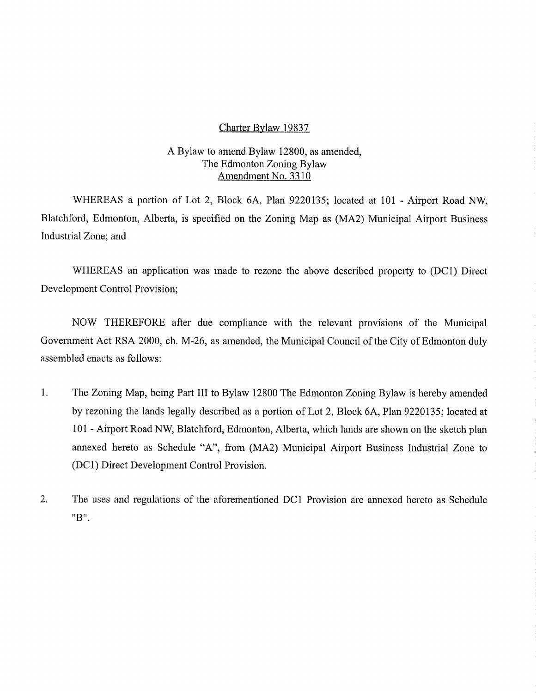#### Charter Bylaw 19837

### A Bylaw to amend Bylaw 12800, as amended, The Edmonton Zoning Bylaw Amendment No. 3310

WHEREAS a portion of Lot 2, Block 6A, Plan 9220135; located at 101 - Airport Road NW, Blatchford, Edmonton, Alberta, is specified on the Zoning Map as (MA2) Municipal Airport Business Industrial Zone; and

WHEREAS an application was made to rezone the above described property to (DC1) Direct Development Control Provision;

NOW THEREFORE after due compliance with the relevant provisions of the Municipal Government Act RSA 2000, ch. M-26, as amended, the Municipal Council of the City of Edmonton duly assembled enacts as follows:

- 1. The Zoning Map, being Part III to Bylaw 12800 The Edmonton Zoning Bylaw is hereby amended by rezoning the lands legally described as a portion of Lot 2, Block 6A, Plan 9220135; located at 101 - Airport Road NW, Blatchford, Edmonton, Alberta, which lands are shown on the sketch plan annexed hereto as Schedule "A", from (MA2) Municipal Airport Business Industrial Zone to (DC1) Direct Development Control Provision.
- 2. The uses and regulations of the aforementioned DC1 Provision are annexed hereto as Schedule "B".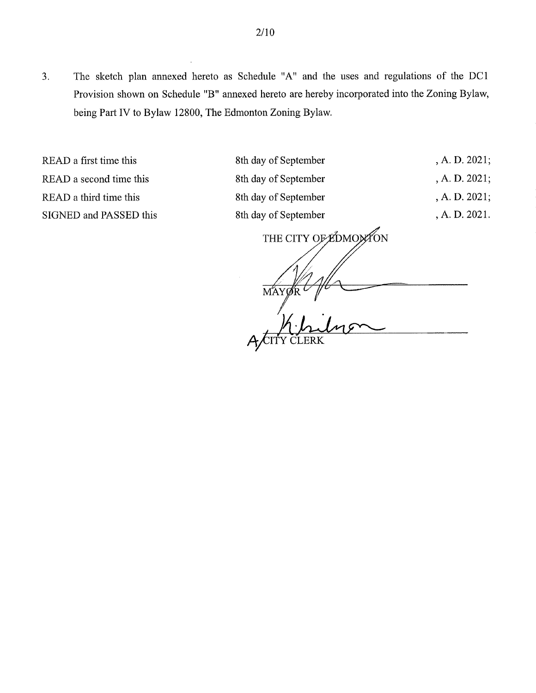3. The sketch plan annexed hereto as Schedule "A" and the uses and regulations of the DC1 Provision shown on Schedule "B" annexed hereto are hereby incorporated into the Zoning Bylaw, being Part IV to Bylaw 12800, The Edmonton Zoning Bylaw.

READ a first time this 8th day of September , A. D. 2021;

READ a second time this 8th day of September , A. D. 2021; READ a third time this 8th day of September , A. D. 2021; SIGNED and PASSED this 8th day of September , A. D. 2021.

THE CITY OF EDMONTON MA)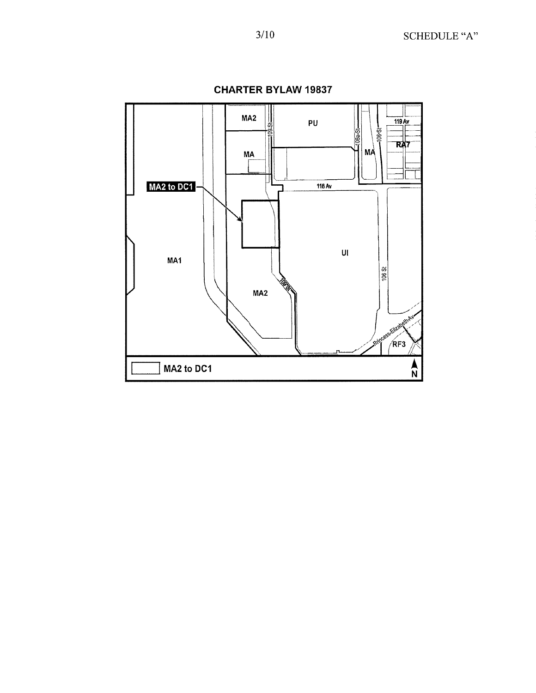

**CHARTER BYLAW 19837**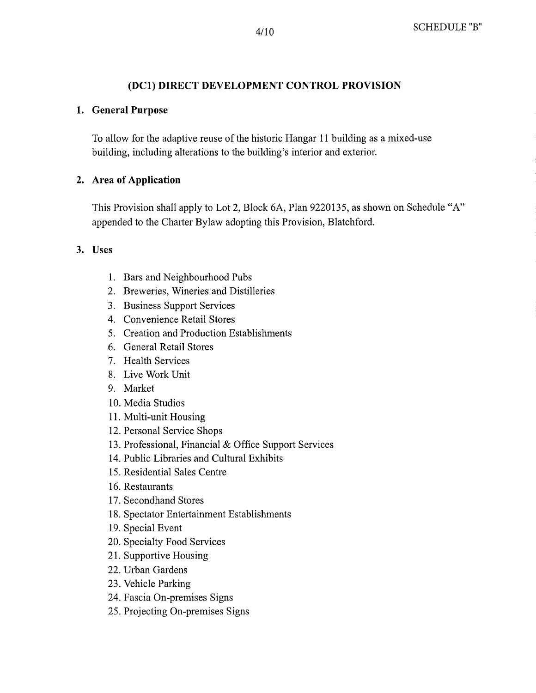# **(DC1) DIRECT DEVELOPMENT CONTROL PROVISION**

### **1. General Purpose**

To allow for the adaptive reuse of the historic Hangar 11 building as a mixed-use building, including alterations to the building's interior and exterior.

## **2. Area of Application**

This Provision shall apply to Lot 2, Block 6A, Plan 9220135, as shown on Schedule "A" appended to the Charter Bylaw adopting this Provision, Blatchford.

**3. Uses** 

- 1. Bars and Neighbourhood Pubs
- 2. Breweries, Wineries and Distilleries
- 3. Business Support Services
- 4. Convenience Retail Stores
- 5. Creation and Production Establishments
- 6. General Retail Stores
- 7. Health Services
- 8. Live Work Unit
- 9. Market
- 10.Media Studios
- 11.Multi-unit Housing
- 12.Personal Service Shops
- 13, Professional, Financial & Office Support Services
- 14.Public Libraries and Cultural Exhibits
- 15.Residential Sales Centre
- 16.Restaurants
- 17. Secondhand Stores
- 18.Spectator Entertainment Establishments
- 19.Special Event
- 20. Specialty Food Services
- 21. Supportive Housing
- 22.Urban Gardens
- 23. Vehicle Parking
- 24. Fascia On-premises Signs
- 25. Projecting On-premises Signs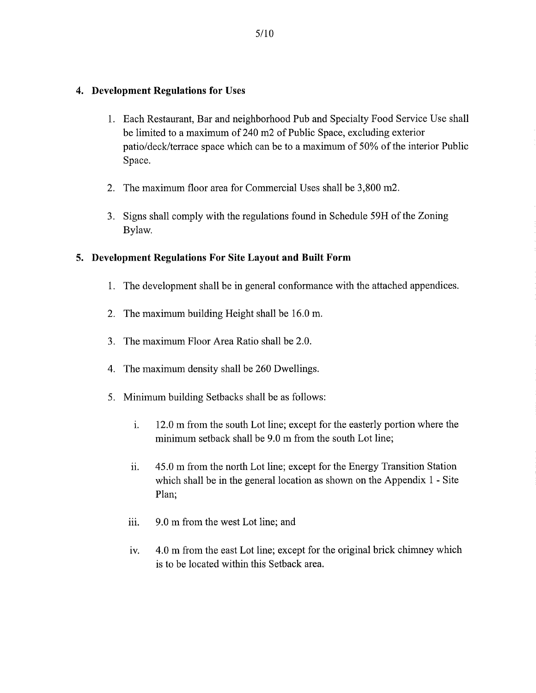#### **4. Development Regulations for Uses**

- 1. Each Restaurant, Bar and neighborhood Pub and Specialty Food Service Use shall be limited to a maximum of 240 m2 of Public Space, excluding exterior patio/deck/terrace space which can be to a maximum of 50% of the interior Public Space.
- 2. The maximum floor area for Commercial Uses shall be 3,800 m2.
- 3. Signs shall comply with the regulations found in Schedule 59H of the Zoning Bylaw.

### **5. Development Regulations For Site Layout and Built Form**

- 1. The development shall be in general conformance with the attached appendices.
- 2. The maximum building Height shall be 16.0 m.
- 3. The maximum Floor Area Ratio shall be 2.0.
- 4. The maximum density shall be 260 Dwellings.
- 5. Minimum building Setbacks shall be as follows:
	- i. 12.0 m from the south Lot line; except for the easterly portion where the minimum setback shall be 9.0 m from the south Lot line;
	- 45.0 m from the north Lot line; except for the Energy Transition Station ii. which shall be in the general location as shown on the Appendix 1 - Site Plan;
	- iii. 9.0 m from the west Lot line; and
	- iv. 4.0 m from the east Lot line; except for the original brick chimney which is to be located within this Setback area.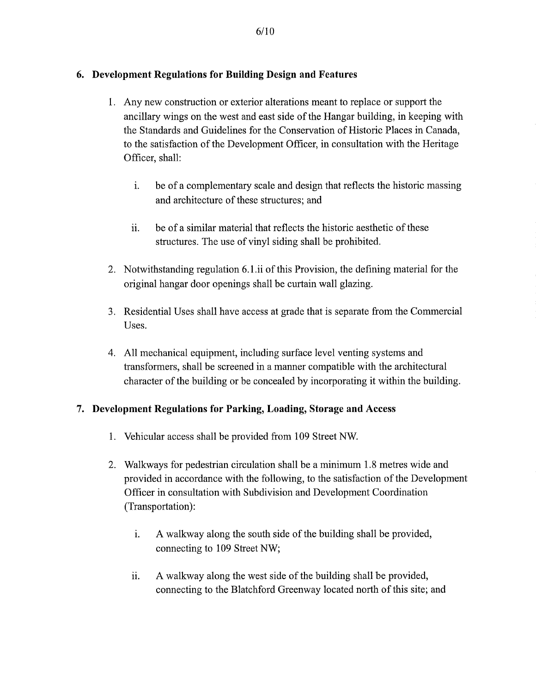## **6. Development Regulations for Building Design and Features**

- 1. Any new construction or exterior alterations meant to replace or support the ancillary wings on the west and east side of the Hangar building, in keeping with the Standards and Guidelines for the Conservation of Historic Places in Canada, to the satisfaction of the Development Officer, in consultation with the Heritage Officer, shall:
	- i. be of a complementary scale and design that reflects the historic massing and architecture of these structures; and
	- ii. be of a similar material that reflects the historic aesthetic of these structures. The use of vinyl siding shall be prohibited.
- 2. Notwithstanding regulation 6.1.ii of this Provision, the defining material for the original hangar door openings shall be curtain wall glazing.
- 3. Residential Uses shall have access at grade that is separate from the Commercial Uses.
- 4. All mechanical equipment, including surface level venting systems and transformers, shall be screened in a manner compatible with the architectural character of the building or be concealed by incorporating it within the building.

### **7. Development Regulations for Parking, Loading, Storage and Access**

- 1. Vehicular access shall be provided from 109 Street NW
- 2. Walkways for pedestrian circulation shall be a minimum 1.8 metres wide and provided in accordance with the following, to the satisfaction of the Development Officer in consultation with Subdivision and Development Coordination (Transportation):
	- i. A walkway along the south side of the building shall be provided, connecting to 109 Street NW;
	- ii. A walkway along the west side of the building shall be provided, connecting to the Blatchford Greenway located north of this site; and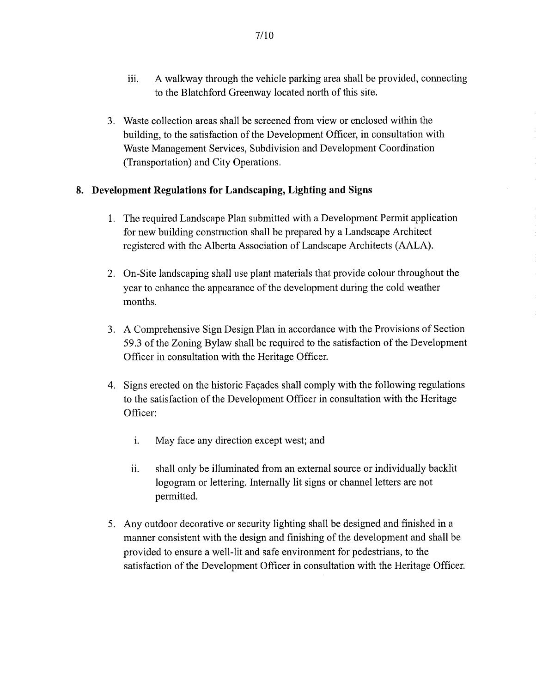- iii. A walkway through the vehicle parking area shall be provided, connecting to the Blatchford Greenway located north of this site.
- 3. Waste collection areas shall be screened from view or enclosed within the building, to the satisfaction of the Development Officer, in consultation with Waste Management Services, Subdivision and Development Coordination (Transportation) and City Operations.

# 8. Development Regulations for Landscaping, Lighting and Signs

- 1. The required Landscape Plan submitted with a Development Permit application for new building construction shall be prepared by a Landscape Architect registered with the Alberta Association of Landscape Architects (AALA).
- 2. On-Site landscaping shall use plant materials that provide colour throughout the year to enhance the appearance of the development during the cold weather months.
- 3. A Comprehensive Sign Design Plan in accordance with the Provisions of Section 59.3 of the Zoning Bylaw shall be required to the satisfaction of the Development Officer in consultation with the Heritage Officer.
- 4. Signs erected on the historic Façades shall comply with the following regulations to the satisfaction of the Development Officer in consultation with the Heritage Officer:
	- i. May face any direction except west; and
	- ii. shall only be illuminated from an external source or individually backlit logogram or lettering. Internally lit signs or channel letters are not permitted.
- 5. Any outdoor decorative or security lighting shall be designed and finished in a manner consistent with the design and finishing of the development and shall be provided to ensure a well-lit and safe environment for pedestrians, to the satisfaction of the Development Officer in consultation with the Heritage Officer.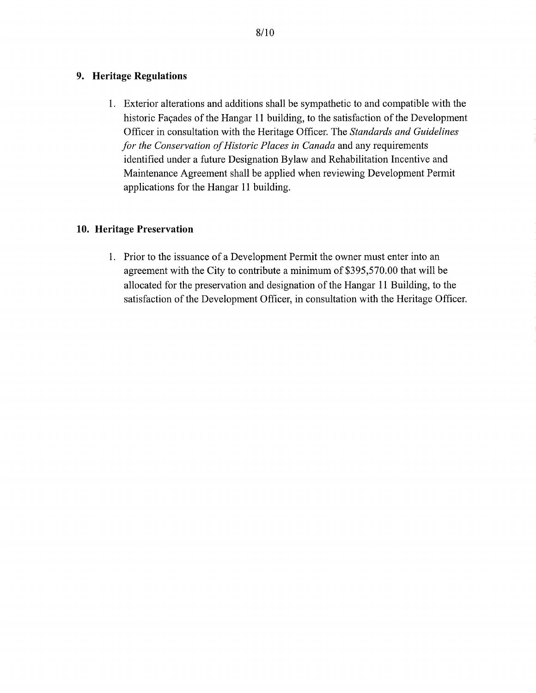### **9. Heritage Regulations**

1. Exterior alterations and additions shall be sympathetic to and compatible with the historic Facades of the Hangar 11 building, to the satisfaction of the Development Officer in consultation with the Heritage Officer. The *Standards and Guidelines for the Conservation of Historic Places in Canada* and any requirements identified under a future Designation Bylaw and Rehabilitation Incentive and Maintenance Agreement shall be applied when reviewing Development Permit applications for the Hangar 11 building.

# **10. Heritage Preservation**

. Prior to the issuance of a Development Permit the owner must enter into an agreement with the City to contribute a minimum of \$395,570.00 that will be allocated for the preservation and designation of the Hangar 11 Building, to the satisfaction of the Development Officer, in consultation with the Heritage Officer.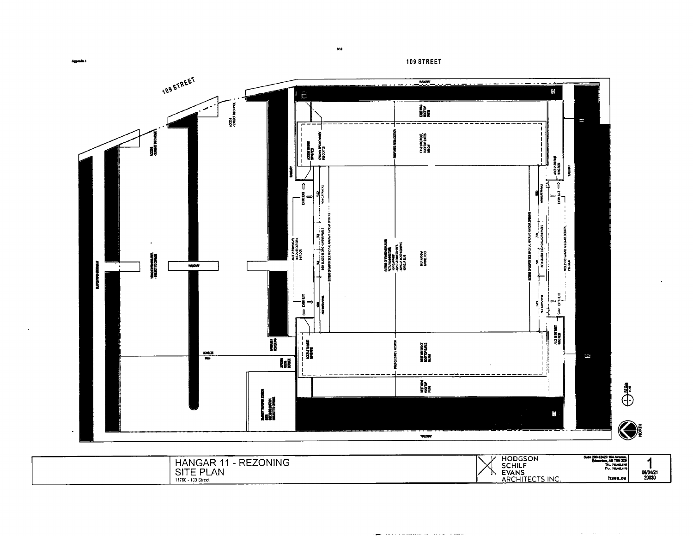Appendix 1

109 STREET



 $_{\rm W10}$ 

HODGSON<br>SCHILF<br>EVANS<br>ARCHITECTS INC. 3uite 200-12420 104 Avenue,<br>Edmonton, AB T5N 329<br>Tel., 700.412.1151<br>F.V., 700.412.1179 HANGAR 11 - REZONING<br>SITE PLAN<br>11760 - 109 Street  $\begin{array}{c} 7 \\ 1 \\ 08/04/21 \\ 20030 \end{array}$ hsea.ca

المحاورة والمتحدث والمتحدث والمتحدث والمتحدث والمستور

and the state of